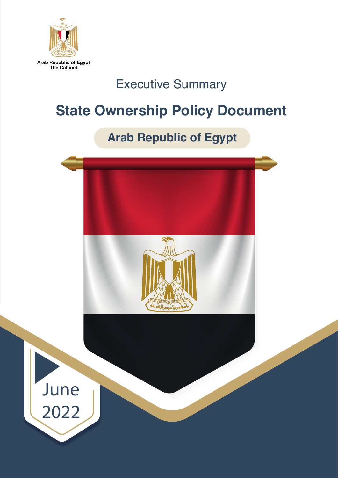

**Arab Republic of Egypt The Cabinet**

## Executive Summary

## **State Ownership Policy Document**

## **Arab Republic of Egypt**

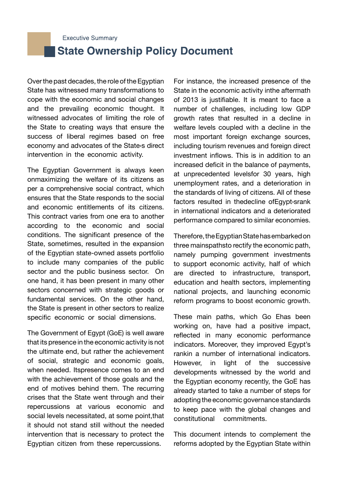**Executive Summary** 

## **State Ownership Policy Document**

Over the past decades, the role of the Egyptian State has witnessed many transformations to cope with the economic and social changes and the prevailing economic thought. It witnessed advocates of limiting the role of the State to creating ways that ensure the success of liberal regimes based on free economy and advocates of the State›s direct intervention in the economic activity.

The Egyptian Government is always keen onmaximizing the welfare of its citizens as per a comprehensive social contract, which ensures that the State responds to the social and economic entitlements of its citizens. This contract varies from one era to another according to the economic and social conditions. The significant presence of the State, sometimes, resulted in the expansion of the Egyptian state-owned assets portfolio to include many companies of the public sector and the public business sector. On one hand, it has been present in many other sectors concerned with strategic goods or fundamental services. On the other hand, the State is present in other sectors to realize specific economic or social dimensions.

The Government of Egypt (GoE) is well aware that its presence in the economic activity is not the ultimate end, but rather the achievement of social, strategic and economic goals, when needed. Itspresence comes to an end with the achievement of those goals and the end of motives behind them. The recurring crises that the State went through and their repercussions at various economic and social levels necessitated, at some point,that it should not stand still without the needed intervention that is necessary to protect the Egyptian citizen from these repercussions.

For instance, the increased presence of the State in the economic activity inthe aftermath of 2013 is justifiable. It is meant to face a number of challenges, including low GDP growth rates that resulted in a decline in welfare levels coupled with a decline in the most important foreign exchange sources, including tourism revenues and foreign direct investment inflows. This is in addition to an increased deficit in the balance of payments, at unprecedented levelsfor 30 years, high unemployment rates, and a deterioration in the standards of living of citizens. All of these factors resulted in thedecline ofEgypt›srank in international indicators and a deteriorated performance compared to similar economies.

Therefore, the Egyptian State has embarked on three mainspathsto rectify the economic path, namely pumping government investments to support economic activity, half of which are directed to infrastructure, transport, education and health sectors, implementing national projects, and launching economic reform programs to boost economic growth.

These main paths, which Go Ehas been working on, have had a positive impact, reflected in many economic performance indicators. Moreover, they improved Egypt's rankin a number of international indicators. However, in light of the successive developments witnessed by the world and the Egyptian economy recently, the GoE has already started to take a number of steps for adopting the economic governance standards to keep pace with the global changes and constitutional commitments.

This document intends to complement the reforms adopted by the Egyptian State within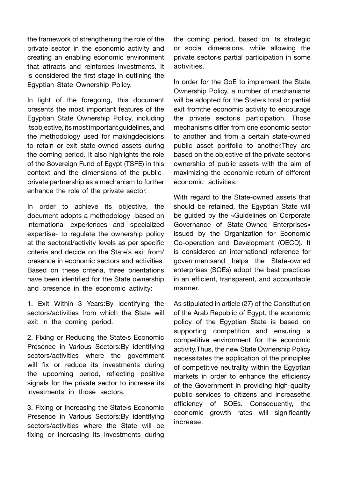the framework of strengthening the role of the private sector in the economic activity and creating an enabling economic environment that attracts and reinforces investments. It is considered the first stage in outlining the Egyptian State Ownership Policy.

In light of the foregoing, this document presents the most important features of the Egyptian State Ownership Policy, including itsobjective, its most important guidelines, and the methodology used for makingdecisions to retain or exit state-owned assets during the coming period. It also highlights the role of the Sovereign Fund of Egypt (TSFE) in this context and the dimensions of the publicprivate partnership as a mechanism to further enhance the role of the private sector.

In order to achieve its objective, the document adopts a methodology -based on international experiences and specialized expertise- to regulate the ownership policy at the sectoral/activity levels as per specific criteria and decide on the State's exit from/ presence in economic sectors and activities. Based on these criteria, three orientations have been identified for the State ownership and presence in the economic activity:

1. Exit Within 3 Years:By identifying the sectors/activities from which the State will exit in the coming period.

2. Fixing or Reducing the State›s Economic Presence in Various Sectors:By identifying sectors/activities where the government will fix or reduce its investments during the upcoming period, reflecting positive signals for the private sector to increase its investments in those sectors.

3. Fixing or Increasing the State›s Economic Presence in Various Sectors:By identifying sectors/activities where the State will be fixing or increasing its investments during the coming period, based on its strategic or social dimensions, while allowing the private sector›s partial participation in some activities.

In order for the GoE to implement the State Ownership Policy, a number of mechanisms will be adopted for the State›s total or partial exit fromthe economic activity to encourage the private sector›s participation. Those mechanisms differ from one economic sector to another and from a certain state-owned public asset portfolio to another.They are based on the objective of the private sector›s ownership of public assets with the aim of maximizing the economic return of different economic activities.

With regard to the State-owned assets that should be retained, the Egyptian State will be guided by the «Guidelines on Corporate Governance of State-Owned Enterprises» issued by the Organization for Economic Co-operation and Development (OECD). It is considered an international reference for governmentsand helps the State-owned enterprises (SOEs) adopt the best practices in an efficient, transparent, and accountable manner.

As stipulated in article (27) of the Constitution of the Arab Republic of Egypt, the economic policy of the Egyptian State is based on supporting competition and ensuring a competitive environment for the economic activity.Thus, the new State Ownership Policy necessitates the application of the principles of competitive neutrality within the Egyptian markets in order to enhance the efficiency of the Government in providing high-quality public services to citizens and increasethe efficiency of SOEs. Consequently, the economic growth rates will significantly increase.